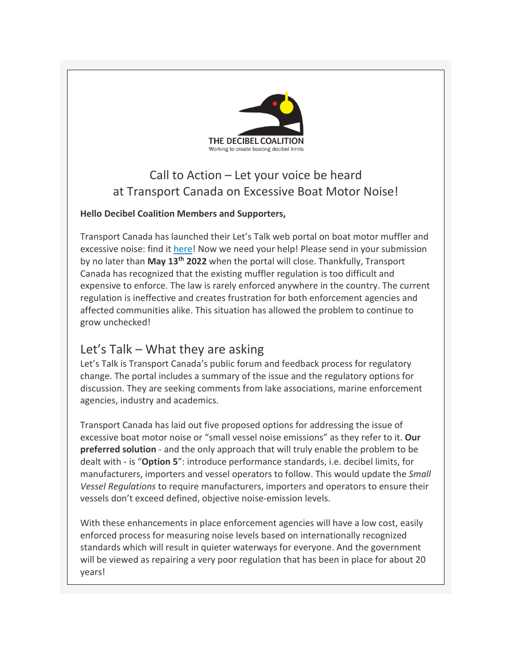

## Call to Action – Let your voice be heard at Transport Canada on Excessive Boat Motor Noise!

#### **Hello Decibel Coalition Members and Supporters,**

Transport Canada has launched their Let's Talk web portal on boat motor muffler and excessive noise: find i[t here!](https://r20.rs6.net/tn.jsp?f=001DM6pEO7JCaHIC4hkPka5XoLH8oUUPF2gc9QEOJVVA0JHVlkX_0la7FonnJCKNRaxSkvKj4J7lji4vGSN_k1E9Nv73AOuY_D2BszhClV3vmTieIQL_htsh6On1T3E_7qFAj0b0c56PQe68d22BZ3n7bTSh-BrcP6N&c=5SE4zAJwW4B1cw1vc-4IjUf-b_3-piQF86jMv5gG69MqV0uU_f7v9w==&ch=XKjpn9CecjwzDuvfqUS3E0KsYVznuefiYGRXN7GPoAuHJLv99a9Svg==) Now we need your help! Please send in your submission by no later than **May 13th 2022** when the portal will close. Thankfully, Transport Canada has recognized that the existing muffler regulation is too difficult and expensive to enforce. The law is rarely enforced anywhere in the country. The current regulation is ineffective and creates frustration for both enforcement agencies and affected communities alike. This situation has allowed the problem to continue to grow unchecked!

#### Let's Talk – What they are asking

Let's Talk is Transport Canada's public forum and feedback process for regulatory change. The portal includes a summary of the issue and the regulatory options for discussion. They are seeking comments from lake associations, marine enforcement agencies, industry and academics.

Transport Canada has laid out five proposed options for addressing the issue of excessive boat motor noise or "small vessel noise emissions" as they refer to it. **Our preferred solution** - and the only approach that will truly enable the problem to be dealt with - is "**Option 5**": introduce performance standards, i.e. decibel limits, for manufacturers, importers and vessel operators to follow. This would update the *Small Vessel Regulations* to require manufacturers, importers and operators to ensure their vessels don't exceed defined, objective noise-emission levels.

With these enhancements in place enforcement agencies will have a low cost, easily enforced process for measuring noise levels based on internationally recognized standards which will result in quieter waterways for everyone. And the government will be viewed as repairing a very poor regulation that has been in place for about 20 years!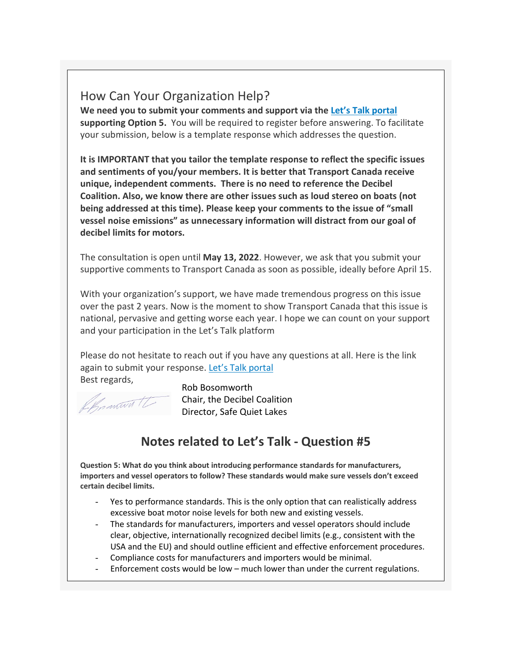### How Can Your Organization Help?

**We need you to submit your comments and support via th[e Let's Talk portal](https://r20.rs6.net/tn.jsp?f=001DM6pEO7JCaHIC4hkPka5XoLH8oUUPF2gc9QEOJVVA0JHVlkX_0la7FonnJCKNRaxSkvKj4J7lji4vGSN_k1E9Nv73AOuY_D2BszhClV3vmTieIQL_htsh6On1T3E_7qFAj0b0c56PQe68d22BZ3n7bTSh-BrcP6N&c=5SE4zAJwW4B1cw1vc-4IjUf-b_3-piQF86jMv5gG69MqV0uU_f7v9w==&ch=XKjpn9CecjwzDuvfqUS3E0KsYVznuefiYGRXN7GPoAuHJLv99a9Svg==) supporting Option 5.** You will be required to register before answering. To facilitate your submission, below is a template response which addresses the question.

**It is IMPORTANT that you tailor the template response to reflect the specific issues and sentiments of you/your members. It is better that Transport Canada receive unique, independent comments. There is no need to reference the Decibel Coalition. Also, we know there are other issues such as loud stereo on boats (not being addressed at this time). Please keep your comments to the issue of "small vessel noise emissions" as unnecessary information will distract from our goal of decibel limits for motors.**

The consultation is open until **May 13, 2022**. However, we ask that you submit your supportive comments to Transport Canada as soon as possible, ideally before April 15.

With your organization's support, we have made tremendous progress on this issue over the past 2 years. Now is the moment to show Transport Canada that this issue is national, pervasive and getting worse each year. I hope we can count on your support and your participation in the Let's Talk platform

Please do not hesitate to reach out if you have any questions at all. Here is the link again to submit your response. [Let's Talk portal](https://r20.rs6.net/tn.jsp?f=001DM6pEO7JCaHIC4hkPka5XoLH8oUUPF2gc9QEOJVVA0JHVlkX_0la7FonnJCKNRaxSkvKj4J7lji4vGSN_k1E9Nv73AOuY_D2BszhClV3vmTieIQL_htsh6On1T3E_7qFAj0b0c56PQe68d22BZ3n7bTSh-BrcP6N&c=5SE4zAJwW4B1cw1vc-4IjUf-b_3-piQF86jMv5gG69MqV0uU_f7v9w==&ch=XKjpn9CecjwzDuvfqUS3E0KsYVznuefiYGRXN7GPoAuHJLv99a9Svg==) Best regards,

Chronworth

Rob Bosomworth Chair, the Decibel Coalition Director, Safe Quiet Lakes

# **Notes related to Let's Talk - Question #5**

**Question 5: What do you think about introducing performance standards for manufacturers, importers and vessel operators to follow? These standards would make sure vessels don't exceed certain decibel limits.**

- Yes to performance standards. This is the only option that can realistically address excessive boat motor noise levels for both new and existing vessels.
- The standards for manufacturers, importers and vessel operators should include clear, objective, internationally recognized decibel limits (e.g., consistent with the USA and the EU) and should outline efficient and effective enforcement procedures.
- Compliance costs for manufacturers and importers would be minimal.
- Enforcement costs would be low much lower than under the current regulations.